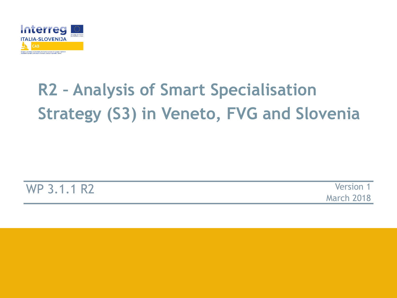

# **R2 – Analysis of Smart Specialisation Strategy (S3) in Veneto, FVG and Slovenia**

WP 3.1.1 R2 Version 1

March 2018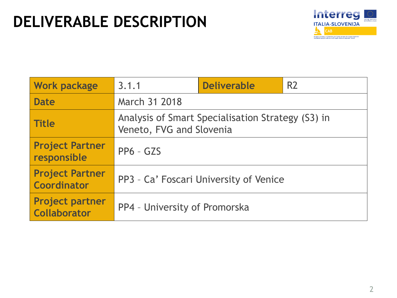# **DELIVERABLE DESCRIPTION**



| <b>Work package</b>                           | 3.1.1                                                                         | <b>Deliverable</b> | R <sub>2</sub> |  |
|-----------------------------------------------|-------------------------------------------------------------------------------|--------------------|----------------|--|
| <b>Date</b>                                   | March 31 2018                                                                 |                    |                |  |
| <b>Title</b>                                  | Analysis of Smart Specialisation Strategy (S3) in<br>Veneto, FVG and Slovenia |                    |                |  |
| <b>Project Partner</b><br>responsible         | $PP6 - GZS$                                                                   |                    |                |  |
| <b>Project Partner</b><br><b>Coordinator</b>  | PP3 - Ca' Foscari University of Venice                                        |                    |                |  |
| <b>Project partner</b><br><b>Collaborator</b> | PP4 - University of Promorska                                                 |                    |                |  |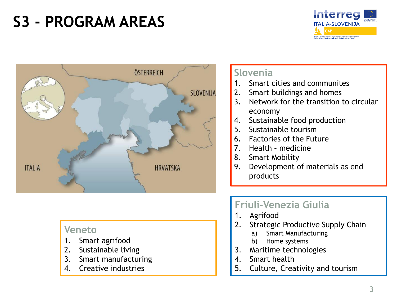# **S3 - PROGRAM AREAS**





#### **Veneto**

- 1. Smart agrifood
- 2. Sustainable living
- 3. Smart manufacturing
- 4. Creative industries

#### **Slovenia**

- 1. Smart cities and communites
- 2. Smart buildings and homes
- 3. Network for the transition to circular economy
- 4. Sustainable food production
- 5. Sustainable tourism
- 6. Factories of the Future
- 7. Health medicine
- 8. Smart Mobility
- 9. Development of materials as end products

### **Friuli-Venezia Giulia**

- 1. Agrifood
- 2. Strategic Productive Supply Chain
	- a) Smart Manufacturing
	- b) Home systems
- 3. Maritime technologies
- 4. Smart health
- 5. Culture, Creativity and tourism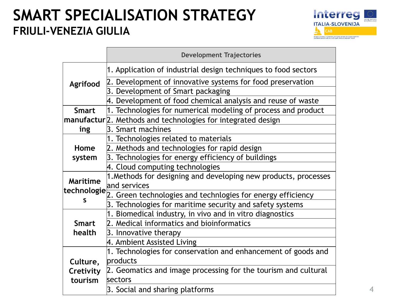# **SMART SPECIALISATION STRATEGY FRIULI-VENEZIA GIULIA**



|                 | <b>Development Trajectories</b>                                            |
|-----------------|----------------------------------------------------------------------------|
|                 | 1. Application of industrial design techniques to food sectors             |
| Agrifood        | 2. Development of innovative systems for food preservation                 |
|                 | 3. Development of Smart packaging                                          |
|                 | 4. Development of food chemical analysis and reuse of waste                |
| <b>Smart</b>    | 1. Technologies for numerical modeling of process and product              |
|                 | manufactur <sup>[2]</sup> . Methods and technologies for integrated design |
| ing             | 3. Smart machines                                                          |
|                 | 1. Technologies related to materials                                       |
| Home            | 2. Methods and technologies for rapid design                               |
| system          | 3. Technologies for energy efficiency of buildings                         |
|                 | 4. Cloud computing technologies                                            |
| <b>Maritime</b> | 1. Methods for designing and developing new products, processes            |
| technologie     | and services                                                               |
| S               | 2. Green technologies and technlogies for energy efficiency                |
|                 | 3. Technologies for maritime security and safety systems                   |
|                 | 1. Biomedical industry, in vivo and in vitro diagnostics                   |
| <b>Smart</b>    | 2. Medical informatics and bioinformatics                                  |
| health          | 3. Innovative therapy                                                      |
|                 | 4. Ambient Assisted Living                                                 |
|                 | 1. Technologies for conservation and enhancement of goods and              |
| Culture,        | products                                                                   |
| Cretivity       | 2. Geomatics and image processing for the tourism and cultural             |
| tourism         | sectors                                                                    |
|                 | 3. Social and sharing platforms                                            |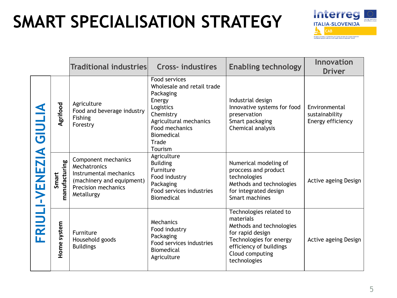# **SMART SPECIALISATION STRATEGY**



|                     |                        | <b>Traditional industries</b>                                                                                                          | <b>Cross-industires</b>                                                                                                                                                           | <b>Enabling technology</b>                                                                                                                                                    | <b>Innovation</b><br><b>Driver</b>                   |
|---------------------|------------------------|----------------------------------------------------------------------------------------------------------------------------------------|-----------------------------------------------------------------------------------------------------------------------------------------------------------------------------------|-------------------------------------------------------------------------------------------------------------------------------------------------------------------------------|------------------------------------------------------|
|                     | Agrifood               | Agriculture<br>Food and beverage industry<br>Fishing<br>Forestry                                                                       | Food services<br>Wholesale and retail trade<br>Packaging<br>Energy<br>Logistics<br>Chemistry<br>Agricultural mechanics<br>Food mechanics<br><b>Biomedical</b><br>Trade<br>Tourism | Industrial design<br>Innovative systems for food<br>preservation<br>Smart packaging<br>Chemical analysis                                                                      | Environmental<br>sustainability<br>Energy efficiency |
| FRIULI-VENEZIA GIUL | manufacturing<br>Smart | Component mechanics<br>Mechatronics<br>Instrumental mechanics<br>(machinery and equipment)<br><b>Precision mechanics</b><br>Metallurgy | Agriculture<br><b>Building</b><br>Furniture<br>Food industry<br>Packaging<br>Food services industries<br>Biomedical                                                               | Numerical modeling of<br>proccess and product<br>technologies<br>Methods and technologies<br>for integrated design<br>Smart machines                                          | Active ageing Design                                 |
|                     | Home system            | Furniture<br>Household goods<br><b>Buildings</b>                                                                                       | Mechanics<br>Food industry<br>Packaging<br>Food services industries<br><b>Biomedical</b><br>Agriculture                                                                           | Technologies related to<br>materials<br>Methods and technologies<br>for rapid design<br>Technologies for energy<br>efficiency of buildings<br>Cloud computing<br>technologies | Active ageing Design                                 |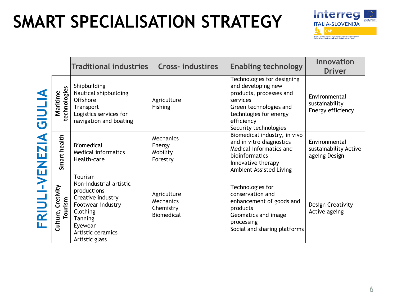# **SMART SPECIALISATION STRATEGY**



|                  |                                  | <b>Traditional industries</b>                                                                                                                                               | <b>Cross-industires</b>                             | <b>Enabling technology</b>                                                                                                                                                         | <b>Innovation</b><br><b>Driver</b>                      |
|------------------|----------------------------------|-----------------------------------------------------------------------------------------------------------------------------------------------------------------------------|-----------------------------------------------------|------------------------------------------------------------------------------------------------------------------------------------------------------------------------------------|---------------------------------------------------------|
| <b>TINIS</b>     | technologies<br>Maritime         | Shipbuilding<br>Nautical shipbuilding<br>Offshore<br>Transport<br>Logistics services for<br>navigation and boating                                                          | Agriculture<br>Fishing                              | Technologies for designing<br>and developing new<br>products, processes and<br>services<br>Green technologies and<br>technlogies for energy<br>efficiency<br>Security technologies | Environmental<br>sustainability<br>Energy efficiency    |
| <b>I-VENEZIA</b> | Smart health                     | <b>Biomedical</b><br>Medical informatics<br>Health-care                                                                                                                     | Mechanics<br>Energy<br>Mobility<br>Forestry         | Biomedical industry, in vivo<br>and in vitro diagnostics<br>Medical informatics and<br>bioinformatics<br>Innovative therapy<br><b>Ambient Assisted Living</b>                      | Environmental<br>sustainability Active<br>ageing Design |
| <b>FRIUI</b>     | Cretivity<br>Tourism<br>Culture, | Tourism<br>Non-industrial artistic<br>productions<br>Creative industry<br>Footwear industry<br>Clothing<br><b>Tanning</b><br>Eyewear<br>Artistic ceramics<br>Artistic glass | Agriculture<br>Mechanics<br>Chemistry<br>Biomedical | Technologies for<br>conservation and<br>enhancement of goods and<br>products<br>Geomatics and image<br>processing<br>Social and sharing platforms                                  | <b>Design Creativity</b><br>Active ageing               |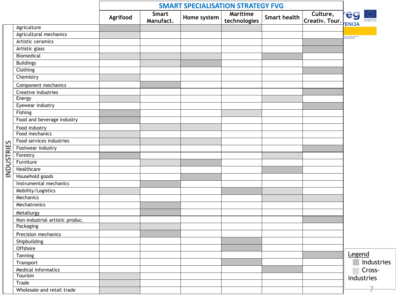|                   |                                 | <b>SMART SPECIALISATION STRATEGY FVG</b> |                           |             |                                 |                     |                            |                                               |
|-------------------|---------------------------------|------------------------------------------|---------------------------|-------------|---------------------------------|---------------------|----------------------------|-----------------------------------------------|
|                   |                                 | Agrifood                                 | <b>Smart</b><br>Manufact. | Home system | <b>Maritime</b><br>technologies | <b>Smart health</b> | Culture,<br>Creativ. Tour. | <b>leg</b>                                    |
|                   | Agriculture                     |                                          |                           |             |                                 |                     |                            | <b>ENIJA</b>                                  |
|                   | Agricultural mechanics          |                                          |                           |             |                                 |                     |                            | ro di sviluppo regionale<br>regionalni razvoj |
|                   | Artistic ceramics               |                                          |                           |             |                                 |                     |                            |                                               |
|                   | Artistic glass                  |                                          |                           |             |                                 |                     |                            |                                               |
|                   | Biomedical                      |                                          |                           |             |                                 |                     |                            |                                               |
|                   | <b>Buildings</b>                |                                          |                           |             |                                 |                     |                            |                                               |
|                   | Clothing                        |                                          |                           |             |                                 |                     |                            |                                               |
|                   | Chemistry                       |                                          |                           |             |                                 |                     |                            |                                               |
|                   | Component mechanics             |                                          |                           |             |                                 |                     |                            |                                               |
|                   | Creative industries             |                                          |                           |             |                                 |                     |                            |                                               |
|                   | Energy                          |                                          |                           |             |                                 |                     |                            |                                               |
|                   | Eyewear industry                |                                          |                           |             |                                 |                     |                            |                                               |
|                   | Fishing                         |                                          |                           |             |                                 |                     |                            |                                               |
|                   | Food and beverage industry      |                                          |                           |             |                                 |                     |                            |                                               |
|                   | Food industry                   |                                          |                           |             |                                 |                     |                            |                                               |
|                   | Food mechanics                  |                                          |                           |             |                                 |                     |                            |                                               |
|                   | Food services industries        |                                          |                           |             |                                 |                     |                            |                                               |
|                   | Footwear industry               |                                          |                           |             |                                 |                     |                            |                                               |
| <b>INDUSTRIES</b> | Forestry                        |                                          |                           |             |                                 |                     |                            |                                               |
|                   | Furniture                       |                                          |                           |             |                                 |                     |                            |                                               |
|                   | Healthcare                      |                                          |                           |             |                                 |                     |                            |                                               |
|                   | Household goods                 |                                          |                           |             |                                 |                     |                            |                                               |
|                   | Instrumental mechanics          |                                          |                           |             |                                 |                     |                            |                                               |
|                   | Mobility/Logistics              |                                          |                           |             |                                 |                     |                            |                                               |
|                   | Mechanics                       |                                          |                           |             |                                 |                     |                            |                                               |
|                   | Mechatronics                    |                                          |                           |             |                                 |                     |                            |                                               |
|                   | Metallurgy                      |                                          |                           |             |                                 |                     |                            |                                               |
|                   | Non-industrial artistic produc. |                                          |                           |             |                                 |                     |                            |                                               |
|                   | Packaging                       |                                          |                           |             |                                 |                     |                            |                                               |
|                   | Precision mechanics             |                                          |                           |             |                                 |                     |                            |                                               |
|                   | Shipbuilding                    |                                          |                           |             |                                 |                     |                            |                                               |
|                   | Offshore                        |                                          |                           |             |                                 |                     |                            |                                               |
|                   | <b>Tanning</b>                  |                                          |                           |             |                                 |                     |                            | Legend                                        |
|                   | Transport                       |                                          |                           |             |                                 |                     |                            | Industries                                    |
|                   | Medical informatics             |                                          |                           |             |                                 |                     |                            | Cross-                                        |
|                   | Tourism                         |                                          |                           |             |                                 |                     |                            | industries                                    |
|                   | Trade                           |                                          |                           |             |                                 |                     |                            |                                               |
|                   | Wholesale and retail trade      |                                          |                           |             |                                 |                     |                            | 7                                             |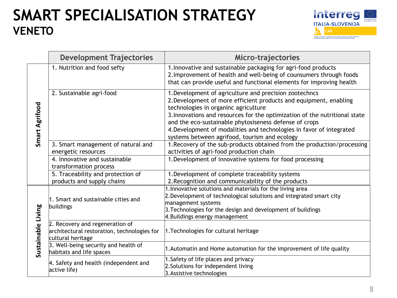# **SMART SPECIALISATION STRATEGY VENETO**



|                       | <b>Development Trajectories</b>                                                                     | <b>Micro-trajectories</b>                                                                                                                                                                                                                                                                                                                                                                                                            |
|-----------------------|-----------------------------------------------------------------------------------------------------|--------------------------------------------------------------------------------------------------------------------------------------------------------------------------------------------------------------------------------------------------------------------------------------------------------------------------------------------------------------------------------------------------------------------------------------|
|                       | 1. Nutrition and food sefty                                                                         | 1. Innovative and sustainable packaging for agri-food products<br>2. Improvement of health and well-being of counsumers through foods<br>that can provide useful and functional elements for improving health                                                                                                                                                                                                                        |
| <b>Smart Agrifood</b> | 2. Sustainable agri-food                                                                            | 1. Development of agriculture and precision zootechncs<br>2. Development of more efficient products and equipment, enabling<br>technologies in organinc agriculture<br>3. Innovations and resources for the optimization of the nutritional state<br>and the eco-sustainable phytosiseness defense of crops<br>4. Development of modalities and technologies in favor of integrated<br>systems between agrifood, tourism and ecology |
|                       | 3. Smart management of natural and                                                                  | 1. Recovery of the sub-products obtained from the production/processing                                                                                                                                                                                                                                                                                                                                                              |
|                       | energetic resources<br>4. Innovative and sustainable                                                | activities of agri-food production chain<br>1. Development of innovative systems for food processing                                                                                                                                                                                                                                                                                                                                 |
|                       | transformation process                                                                              |                                                                                                                                                                                                                                                                                                                                                                                                                                      |
|                       | 5. Traceability and protection of<br>products and supply chains                                     | 1. Development of complete traceability systems<br>2. Recognition and communicability of the products                                                                                                                                                                                                                                                                                                                                |
|                       | 1. Smart and sustainable cities and<br>buildings                                                    | 1. Innovative solutions and materials for the living area<br>2. Development of technological solutions and integrated smart city<br>management systems<br>3. Technologies for the design and development of buildings<br>4. Buildings energy management                                                                                                                                                                              |
| Sustainable Living    | 2. Recovery and regeneration of<br>architectural restoration, technologies for<br>cultural heritage | 1. Technologies for cultural heritage                                                                                                                                                                                                                                                                                                                                                                                                |
|                       | 3. Well-being security and health of<br>habitats and life spaces                                    | 1. Automatin and Home automation for the improvement of life quality                                                                                                                                                                                                                                                                                                                                                                 |
|                       | 4. Safety and health (independent and<br>active life)                                               | 1. Safety of life places and privacy<br>2. Solutions for independent living<br>3. Assistive technologies                                                                                                                                                                                                                                                                                                                             |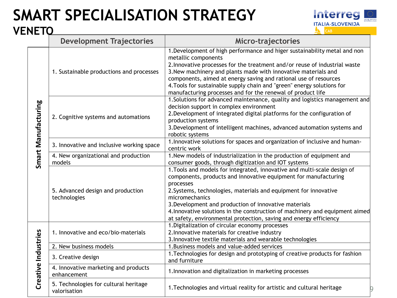### **SMART SPECIALISATION STRATEGY VENETO**



|                            | <b>Development Trajectories</b>                       | Micro-trajectories                                                                                                                                                                                                                                                                                                                                                                                                                                            |
|----------------------------|-------------------------------------------------------|---------------------------------------------------------------------------------------------------------------------------------------------------------------------------------------------------------------------------------------------------------------------------------------------------------------------------------------------------------------------------------------------------------------------------------------------------------------|
|                            | 1. Sustainable productions and processes              | 1. Development of high performance and higer sustainability metal and non<br>metallic components<br>2. Innovative processes for the treatment and/or reuse of industrial waste<br>3. New machinery and plants made with innovative materials and<br>components, aimed at energy saving and rational use of resources<br>4. Tools for sustainable supply chain and "green" energy solutions for<br>manufacturing processes and for the renewal of product life |
| <b>Smart Manufacturing</b> | 2. Cognitive systems and automations                  | 1. Solutions for advanced maintenance, quality and logistics management and<br>decision support in complex environment<br>2. Development of integrated digital platforms for the configuration of<br>production systems<br>3. Development of intelligent machines, advanced automation systems and<br>robotic systems                                                                                                                                         |
|                            | 3. Innovative and inclusive working space             | 1. Innovative solutions for spaces and organization of inclusive and human-<br>centric work                                                                                                                                                                                                                                                                                                                                                                   |
|                            | 4. New organizational and production<br>models        | 1. New models of industrialization in the production of equipment and<br>consumer goods, through digitization and IOT systems                                                                                                                                                                                                                                                                                                                                 |
|                            | 5. Advanced design and production<br>technologies     | 1. Tools and models for integrated, innovative and multi-scale design of<br>components, products and innovative equipment for manufacturing<br>processes<br>2. Systems, technologies, materials and equipment for innovative<br>micromechanics<br>3. Development and production of innovative materials<br>4. Innovative solutions in the construction of machinery and equipment aimed<br>at safety, environmental protection, saving and energy efficiency  |
|                            | 1. Innovative and eco/bio-materials                   | 1. Digitalization of circular economy processes<br>2. Innovative materials for creative industry<br>3. Innovative textile materials and wearable technologies                                                                                                                                                                                                                                                                                                 |
|                            | 2. New business models                                | 1. Business models and value-added services                                                                                                                                                                                                                                                                                                                                                                                                                   |
|                            | 3. Creative design                                    | 1. Technologies for design and prototyping of creative products for fashion<br>and furniture                                                                                                                                                                                                                                                                                                                                                                  |
| Creative Industries        | 4. Innovative marketing and products<br>enhancement   | 1. Innovation and digitalization in marketing processes                                                                                                                                                                                                                                                                                                                                                                                                       |
|                            | 5. Technologies for cultural heritage<br>valorisation | 1. Technologies and virtual reality for artistic and cultural heritage                                                                                                                                                                                                                                                                                                                                                                                        |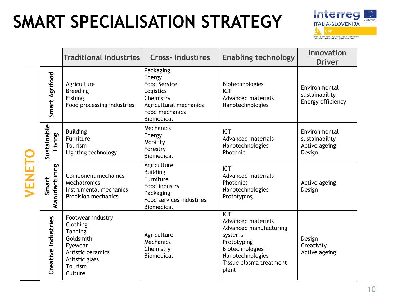# **SMART SPECIALISATION STRATEGY**



|       |                        | Traditional industries                                                                                                        | <b>Cross-industires</b>                                                                                                               | <b>Enabling technology</b>                                                                                                                                      | <b>Innovation</b><br><b>Driver</b>                         |
|-------|------------------------|-------------------------------------------------------------------------------------------------------------------------------|---------------------------------------------------------------------------------------------------------------------------------------|-----------------------------------------------------------------------------------------------------------------------------------------------------------------|------------------------------------------------------------|
|       | Smart Agrifood         | Agriculture<br><b>Breeding</b><br>Fishing<br>Food processing industries                                                       | Packaging<br>Energy<br><b>Food Service</b><br>Logistics<br>Chemistry<br>Agricultural mechanics<br>Food mechanics<br><b>Biomedical</b> | Biotechnologies<br><b>ICT</b><br><b>Advanced materials</b><br>Nanotechnologies                                                                                  | Environmental<br>sustainability<br>Energy efficiency       |
|       | Sustainable<br>Living  | <b>Building</b><br>Furniture<br>Tourism<br>Lighting technology                                                                | Mechanics<br>Energy<br>Mobility<br>Forestry<br><b>Biomedical</b>                                                                      | <b>ICT</b><br><b>Advanced materials</b><br>Nanotechnologies<br><b>Photonic</b>                                                                                  | Environmental<br>sustainability<br>Active ageing<br>Design |
| VENET | Manufacturing<br>Smart | Component mechanics<br>Mechatronics<br>Instrumental mechanics<br><b>Precision mechanics</b>                                   | Agriculture<br><b>Building</b><br>Furniture<br>Food industry<br>Packaging<br>Food services industries<br><b>Biomedical</b>            | <b>ICT</b><br><b>Advanced materials</b><br>Photonics<br>Nanotechnologies<br>Prototyping                                                                         | Active ageing<br>Design                                    |
|       | Creative Industries    | Footwear industry<br>Clothing<br>Tanning<br>Goldsmith<br>Eyewear<br>Artistic ceramics<br>Artistic glass<br>Tourism<br>Culture | Agriculture<br>Mechanics<br>Chemistry<br><b>Biomedical</b>                                                                            | <b>ICT</b><br>Advanced materials<br>Advanced manufacturing<br>systems<br>Prototyping<br>Biotechnologies<br>Nanotechnologies<br>Tissue plasma treatment<br>plant | Design<br>Creativity<br>Active ageing                      |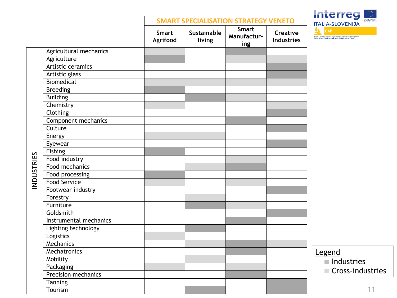|                                     |                          |                       | <b>SMART SPECIALISATION STRATEGY VENETO</b> |                                      |
|-------------------------------------|--------------------------|-----------------------|---------------------------------------------|--------------------------------------|
|                                     | <b>Smart</b><br>Agrifood | Sustainable<br>living | <b>Smart</b><br>Manufactur-<br>ing          | <b>Creative</b><br><b>Industries</b> |
| Agricultural mechanics              |                          |                       |                                             |                                      |
| Agriculture                         |                          |                       |                                             |                                      |
| Artistic ceramics                   |                          |                       |                                             |                                      |
| Artistic glass                      |                          |                       |                                             |                                      |
| <b>Biomedical</b>                   |                          |                       |                                             |                                      |
| <b>Breeding</b>                     |                          |                       |                                             |                                      |
| <b>Building</b>                     |                          |                       |                                             |                                      |
| Chemistry                           |                          |                       |                                             |                                      |
| Clothing                            |                          |                       |                                             |                                      |
| Component mechanics                 |                          |                       |                                             |                                      |
| Culture                             |                          |                       |                                             |                                      |
| Energy                              |                          |                       |                                             |                                      |
| Eyewear                             |                          |                       |                                             |                                      |
| Fishing                             |                          |                       |                                             |                                      |
| Food industry                       |                          |                       |                                             |                                      |
| <b>INDUSTRIES</b><br>Food mechanics |                          |                       |                                             |                                      |
| Food processing                     |                          |                       |                                             |                                      |
| <b>Food Service</b>                 |                          |                       |                                             |                                      |
| Footwear industry                   |                          |                       |                                             |                                      |
| Forestry                            |                          |                       |                                             |                                      |
| Furniture                           |                          |                       |                                             |                                      |
| Goldsmith                           |                          |                       |                                             |                                      |
| Instrumental mechanics              |                          |                       |                                             |                                      |
| Lighting technology                 |                          |                       |                                             |                                      |
| Logistics                           |                          |                       |                                             |                                      |
| Mechanics                           |                          |                       |                                             |                                      |
| Mechatronics                        |                          |                       |                                             |                                      |
| Mobility                            |                          |                       |                                             |                                      |
| Packaging                           |                          |                       |                                             |                                      |
| <b>Precision mechanics</b>          |                          |                       |                                             |                                      |
| Tanning                             |                          |                       |                                             |                                      |
| Tourism                             |                          |                       |                                             |                                      |

 $\Gamma$ 

# **Interreged** .<br>dal Fonda curapeo di sviluppo regionale<br>vrapski sklad za regionalni razvoj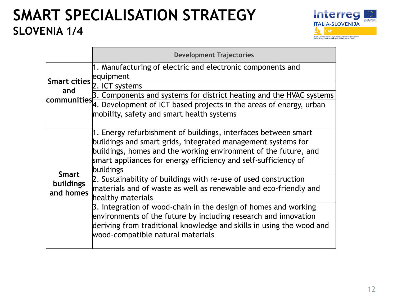# **SMART SPECIALISATION STRATEGY SLOVENIA 1/4**



|                                               | <b>Development Trajectories</b>                                                                                                                                                                                                                                                  |
|-----------------------------------------------|----------------------------------------------------------------------------------------------------------------------------------------------------------------------------------------------------------------------------------------------------------------------------------|
| Smart cities equipment                        | 1. Manufacturing of electric and electronic components and                                                                                                                                                                                                                       |
| and                                           | 2. ICT systems                                                                                                                                                                                                                                                                   |
|                                               | communities 3. Components and systems for district heating and the HVAC systems                                                                                                                                                                                                  |
|                                               | 4. Development of ICT based projects in the areas of energy, urban<br>mobility, safety and smart health systems                                                                                                                                                                  |
|                                               | 1. Energy refurbishment of buildings, interfaces between smart<br>buildings and smart grids, integrated management systems for<br>buildings, homes and the working environment of the future, and<br>smart appliances for energy efficiency and self-sufficiency of<br>buildings |
| <b>Smart</b><br><b>buildings</b><br>and homes | 2. Sustainability of buildings with re-use of used construction<br>materials and of waste as well as renewable and eco-friendly and<br>healthy materials                                                                                                                         |
|                                               | 3. integration of wood-chain in the design of homes and working<br>environments of the future by including research and innovation<br>deriving from traditional knowledge and skills in using the wood and<br>wood-compatible natural materials                                  |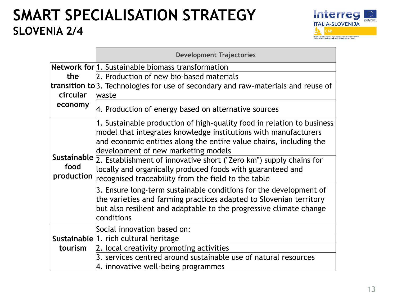# **SMART SPECIALISATION STRATEGY SLOVENIA 2/4**



|                    | <b>Development Trajectories</b>                                                                                                                                                                                                                        |  |  |  |  |  |
|--------------------|--------------------------------------------------------------------------------------------------------------------------------------------------------------------------------------------------------------------------------------------------------|--|--|--|--|--|
|                    | <b>Network for 1. Sustainable biomass transformation</b>                                                                                                                                                                                               |  |  |  |  |  |
| the                | 2. Production of new bio-based materials                                                                                                                                                                                                               |  |  |  |  |  |
|                    | transition to 3. Technologies for use of secondary and raw-materials and reuse of                                                                                                                                                                      |  |  |  |  |  |
| circular           | waste                                                                                                                                                                                                                                                  |  |  |  |  |  |
| economy            | 4. Production of energy based on alternative sources                                                                                                                                                                                                   |  |  |  |  |  |
|                    | 1. Sustainable production of high-quality food in relation to business<br>model that integrates knowledge institutions with manufacturers<br>and economic entities along the entire value chains, including the<br>development of new marketing models |  |  |  |  |  |
| food<br>production | Sustainable $\frac{1}{2}$ . Establishment of innovative short ("Zero km") supply chains for<br>locally and organically produced foods with guaranteed and<br>recognised traceability from the field to the table                                       |  |  |  |  |  |
|                    | 3. Ensure long-term sustainable conditions for the development of<br>the varieties and farming practices adapted to Slovenian territory<br>but also resilient and adaptable to the progressive climate change<br>conditions                            |  |  |  |  |  |
|                    | Social innovation based on:                                                                                                                                                                                                                            |  |  |  |  |  |
|                    | Sustainable 1. rich cultural heritage                                                                                                                                                                                                                  |  |  |  |  |  |
| tourism            | 2. local creativity promoting activities                                                                                                                                                                                                               |  |  |  |  |  |
|                    | 3. services centred around sustainable use of natural resources<br>4. innovative well-being programmes                                                                                                                                                 |  |  |  |  |  |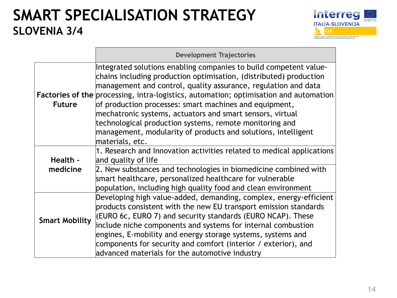# **SMART SPECIALISATION STRATEGY SLOVENIA 3/4**



|                       | <b>Development Trajectories</b>                                                                                                                                                                                                                                                                                                                                                                                                                                                                                                                                                 |
|-----------------------|---------------------------------------------------------------------------------------------------------------------------------------------------------------------------------------------------------------------------------------------------------------------------------------------------------------------------------------------------------------------------------------------------------------------------------------------------------------------------------------------------------------------------------------------------------------------------------|
| <b>Future</b>         | Integrated solutions enabling companies to build competent value-<br>chains including production optimisation, (distributed) production<br>management and control, quality assurance, regulation and data<br><b>Factories of the processing, intra-logistics, automation; optimisation and automation</b><br>of production processes: smart machines and equipment,<br>mechatronic systems, actuators and smart sensors, virtual<br>technological production systems, remote monitoring and<br>management, modularity of products and solutions, intelligent<br>materials, etc. |
| Health -<br>medicine  | 1. Research and Innovation activities related to medical applications<br>and quality of life<br>2. New substances and technologies in biomedicine combined with<br>smart healthcare, personalized healthcare for vulnerable<br>population, including high quality food and clean environment                                                                                                                                                                                                                                                                                    |
| <b>Smart Mobility</b> | Developing high value-added, demanding, complex, energy-efficient<br>products consistent with the new EU transport emission standards<br>(EURO 6c, EURO 7) and security standards (EURO NCAP). These<br>include niche components and systems for internal combustion<br>engines, E-mobility and energy storage systems, systems and<br>components for security and comfort (interior / exterior), and<br>advanced materials for the automotive industry                                                                                                                         |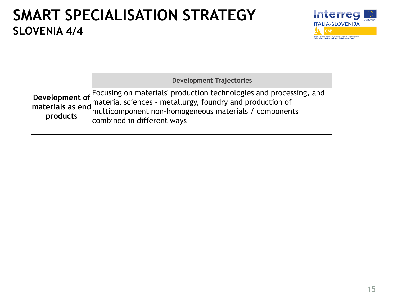### **SMART SPECIALISATION STRATEGY SLOVENIA 4/4**



|          | <b>Development Trajectories</b>                                                                                                                                                                                                                                            |
|----------|----------------------------------------------------------------------------------------------------------------------------------------------------------------------------------------------------------------------------------------------------------------------------|
| products | Development of $\begin{bmatrix}$ Focusing on materials' production technologies and processing, and<br>materials as end material sciences - metallurgy, foundry and production of<br>products multicomponent non-homogeneous materials / com<br>combined in different ways |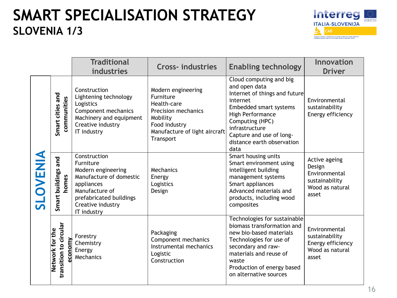# **SMART SPECIALISATION STRATEGY SLOVENIA 1/3**



|          |                                                      | <b>Traditional</b><br>industries                                                                                                                                          | <b>Cross-industries</b>                                                                                                                                 | <b>Enabling technology</b>                                                                                                                                                                                                                 | Innovation<br><b>Driver</b>                                                            |
|----------|------------------------------------------------------|---------------------------------------------------------------------------------------------------------------------------------------------------------------------------|---------------------------------------------------------------------------------------------------------------------------------------------------------|--------------------------------------------------------------------------------------------------------------------------------------------------------------------------------------------------------------------------------------------|----------------------------------------------------------------------------------------|
| SLOVENIA | Smart cities and<br>communities                      | Construction<br>Lightening technology<br>Logistics<br>Component mechanics<br>Machinery and equipment<br>Creative industry<br>IT industry                                  | Modern engineering<br>Furniture<br>Health-care<br><b>Precision mechanics</b><br>Mobility<br>Food industry<br>Manufacture of light aircraft<br>Transport | Cloud computing and big<br>and open data<br>Internet of things and future<br>internet<br>Embedded smart systems<br>High Performance<br>Computing (HPC)<br>infrastructure<br>Capture and use of long-<br>distance earth observation<br>data | Environmental<br>sustainability<br>Energy efficiency                                   |
|          | Smart buildings and<br>homes                         | Construction<br>Furniture<br>Modern engineering<br>Manufacture of domestic<br>appliances<br>Manufacture of<br>prefabricated buildings<br>Creative industry<br>IT industry | Mechanics<br>Energy<br>Logistics<br>Design                                                                                                              | Smart housing units<br>Smart environment using<br>intelligent building<br>management systems<br>Smart appliances<br>Advanced materials and<br>products, including wood<br>composites                                                       | Active ageing<br>Design<br>Environmental<br>sustainability<br>Wood as natural<br>asset |
|          | transition to circular<br>Network for the<br>economy | Forestry<br>Chemistry<br>Energy<br>Mechanics                                                                                                                              | Packaging<br>Component mechanics<br>Instrumental mechanics<br>Logistic<br>Construction                                                                  | Technologies for sustainable<br>biomass transformation and<br>new bio-based materials<br>Technologies for use of<br>secondary and raw-<br>materials and reuse of<br>waste<br>Production of energy based<br>on alternative sources          | Environmental<br>sustainability<br>Energy efficiency<br>Wood as natural<br>asset       |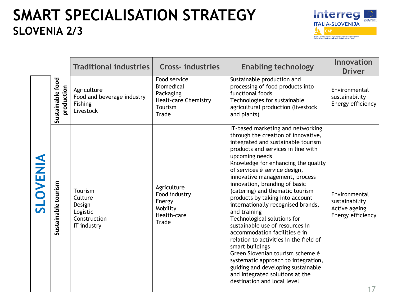# **SMART SPECIALISATION STRATEGY SLOVENIA 2/3**



|                 |                                | <b>Traditional industries</b>                                           | <b>Cross-industries</b>                                                                           | <b>Enabling technology</b>                                                                                                                                                                                                                                                                                                                                                                                                                                                                                                                                                                                                                                                                                                                                                                       | Innovation<br><b>Driver</b>                                           |
|-----------------|--------------------------------|-------------------------------------------------------------------------|---------------------------------------------------------------------------------------------------|--------------------------------------------------------------------------------------------------------------------------------------------------------------------------------------------------------------------------------------------------------------------------------------------------------------------------------------------------------------------------------------------------------------------------------------------------------------------------------------------------------------------------------------------------------------------------------------------------------------------------------------------------------------------------------------------------------------------------------------------------------------------------------------------------|-----------------------------------------------------------------------|
|                 | Sustainable food<br>production | Agriculture<br>Food and beverage industry<br>Fishing<br>Livestock       | Food service<br><b>Biomedical</b><br>Packaging<br><b>Healt-care Chemistry</b><br>Tourism<br>Trade | Sustainable production and<br>processing of food products into<br>functional foods<br>Technologies for sustainable<br>agricultural production (livestock<br>and plants)                                                                                                                                                                                                                                                                                                                                                                                                                                                                                                                                                                                                                          | Environmental<br>sustainability<br>Energy efficiency                  |
| <b>SLOVENIA</b> | Sustainable tourism            | Tourism<br>Culture<br>Design<br>Logistic<br>Construction<br>IT industry | Agriculture<br>Food industry<br>Energy<br>Mobility<br>Health-care<br>Trade                        | IT-based marketing and networking<br>through the creation of innovative,<br>integrated and sustainable tourism<br>products and services in line with<br>upcoming needs<br>Knowledge for enhancing the quality<br>of services è service design,<br>innovative management, process<br>innovation, branding of basic<br>(catering) and thematic tourism<br>products by taking into account<br>internationally recognised brands,<br>and training<br>Technological solutions for<br>sustainable use of resources in<br>accommodation facilities è in<br>relation to activities in the field of<br>smart buildings<br>Green Slovenian tourism scheme è<br>systematic approach to integration,<br>guiding and developing sustainable<br>and integrated solutions at the<br>destination and local level | Environmental<br>sustainability<br>Active ageing<br>Energy efficiency |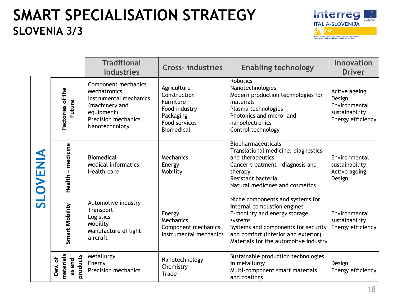# **SMART SPECIALISATION STRATEGY SLOVENIA 3/3**



|          |                                                                                | <b>Traditional</b><br>industries                                                                                                       | <b>Cross-industries</b>                                                                                      | <b>Enabling technology</b>                                                                                                                                                                                                         | <b>Innovation</b><br><b>Driver</b>                                              |
|----------|--------------------------------------------------------------------------------|----------------------------------------------------------------------------------------------------------------------------------------|--------------------------------------------------------------------------------------------------------------|------------------------------------------------------------------------------------------------------------------------------------------------------------------------------------------------------------------------------------|---------------------------------------------------------------------------------|
| SLOVENIA | Factories of the<br>Future                                                     | Component mechanics<br>Mechatronics<br>Instrumental mechanics<br>(machinery and<br>equipment)<br>Precision mechanics<br>Nanotechnology | Agriculture<br>Construction<br>Furniture<br>Food industry<br>Packaging<br>Food services<br><b>Biomedical</b> | <b>Robotics</b><br>Nanotechnologies<br>Modern production technologies for<br>materials<br>Plasma technologies<br>Photonics and micro- and<br>nanoelectronics<br>Control technology                                                 | Active ageing<br>Design<br>Environmental<br>sustainability<br>Energy efficiency |
|          | -medicine<br>Biomedical<br><b>Medical informatics</b><br>Health-care<br>Health |                                                                                                                                        | Mechanics<br>Energy<br>Mobility                                                                              | Biopharmaceuticals<br>Translational medicine: diagnostics<br>and therapeutics<br>Cancer treatment - diagnosis and<br>therapy<br>Resistant bacteria<br>Natural medicines and cosmetics                                              | Environmental<br>sustainability<br>Active ageing<br>Design                      |
|          | Smart Mobility                                                                 | Automotive industry<br>Transport<br>Logistics<br>Mobility<br>Manufacture of light<br>aircraft                                          | Energy<br>Mechanics<br>Component mechanics<br>Instrumental mechanics                                         | Niche components and systems for<br>internal combustion engines<br>E-mobility and energy storage<br>systems<br>Systems and components for security<br>and comfort (interior and exterior)<br>Materials for the automotive industry | Environmental<br>sustainability<br>Energy efficiency                            |
|          | materials<br>products<br>Dev. of<br>as end                                     | Metallurgy<br>Energy<br><b>Precision mechanics</b>                                                                                     | Nanotechnology<br>Chemistry<br>Trade                                                                         | Sustainable production technologies<br>in metallurgy<br>Multi-component smart materials<br>and coatings                                                                                                                            | Design<br>Energy efficiency                                                     |